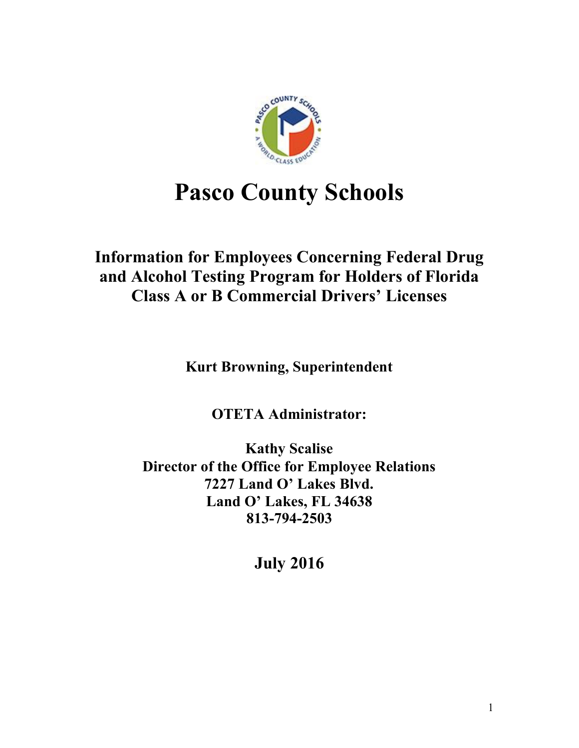

# **Pasco County Schools**

# **Information for Employees Concerning Federal Drug and Alcohol Testing Program for Holders of Florida Class A or B Commercial Drivers' Licenses**

**Kurt Browning, Superintendent**

**OTETA Administrator:** 

**Kathy Scalise Director of the Office for Employee Relations 7227 Land O' Lakes Blvd. Land O' Lakes, FL 34638 813-794-2503**

**July 2016**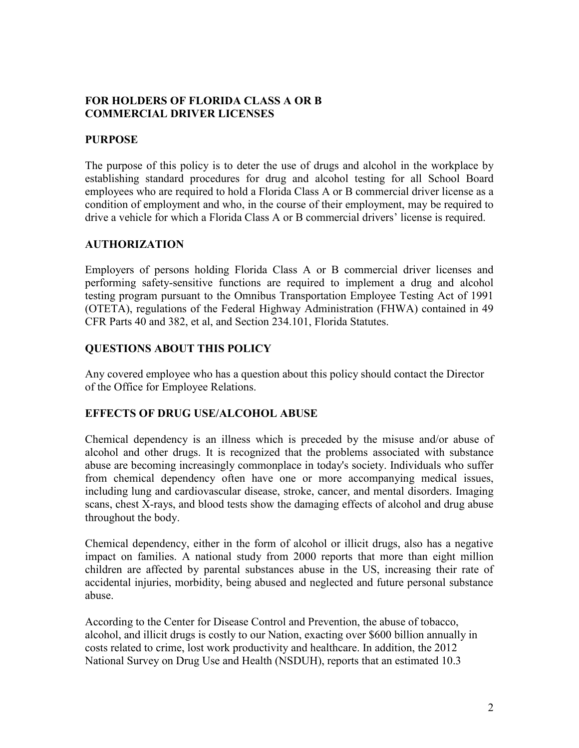#### **FOR HOLDERS OF FLORIDA CLASS A OR B COMMERCIAL DRIVER LICENSES**

#### **PURPOSE**

The purpose of this policy is to deter the use of drugs and alcohol in the workplace by establishing standard procedures for drug and alcohol testing for all School Board employees who are required to hold a Florida Class A or B commercial driver license as a condition of employment and who, in the course of their employment, may be required to drive a vehicle for which a Florida Class A or B commercial drivers' license is required.

#### **AUTHORIZATION**

Employers of persons holding Florida Class A or B commercial driver licenses and performing safety-sensitive functions are required to implement a drug and alcohol testing program pursuant to the Omnibus Transportation Employee Testing Act of 1991 (OTETA), regulations of the Federal Highway Administration (FHWA) contained in 49 CFR Parts 40 and 382, et al, and Section 234.101, Florida Statutes.

#### **QUESTIONS ABOUT THIS POLICY**

Any covered employee who has a question about this policy should contact the Director of the Office for Employee Relations.

#### **EFFECTS OF DRUG USE/ALCOHOL ABUSE**

Chemical dependency is an illness which is preceded by the misuse and/or abuse of alcohol and other drugs. It is recognized that the problems associated with substance abuse are becoming increasingly commonplace in today's society. Individuals who suffer from chemical dependency often have one or more accompanying medical issues, including lung and cardiovascular disease, stroke, cancer, and mental disorders. Imaging scans, chest X-rays, and blood tests show the damaging effects of alcohol and drug abuse throughout the body.

Chemical dependency, either in the form of alcohol or illicit drugs, also has a negative impact on families. A national study from 2000 reports that more than eight million children are affected by parental substances abuse in the US, increasing their rate of accidental injuries, morbidity, being abused and neglected and future personal substance abuse.

According to the Center for Disease Control and Prevention, the abuse of tobacco, alcohol, and illicit drugs is costly to our Nation, exacting over \$600 billion annually in costs related to crime, lost work productivity and healthcare. In addition, the 2012 National Survey on Drug Use and Health (NSDUH), reports that an estimated 10.3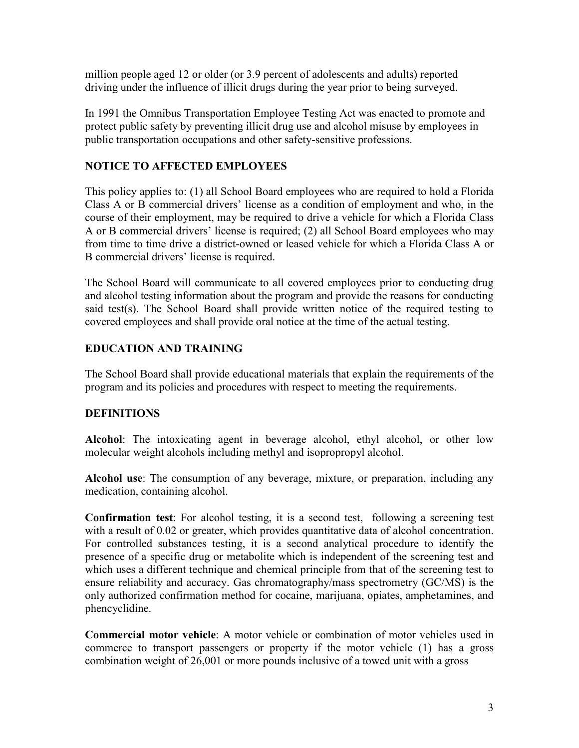million people aged 12 or older (or 3.9 percent of adolescents and adults) reported driving under the influence of illicit drugs during the year prior to being surveyed.

In 1991 the Omnibus Transportation Employee Testing Act was enacted to promote and protect public safety by preventing illicit drug use and alcohol misuse by employees in public transportation occupations and other safety-sensitive professions.

# **NOTICE TO AFFECTED EMPLOYEES**

This policy applies to: (1) all School Board employees who are required to hold a Florida Class A or B commercial drivers' license as a condition of employment and who, in the course of their employment, may be required to drive a vehicle for which a Florida Class A or B commercial drivers' license is required; (2) all School Board employees who may from time to time drive a district-owned or leased vehicle for which a Florida Class A or B commercial drivers' license is required.

The School Board will communicate to all covered employees prior to conducting drug and alcohol testing information about the program and provide the reasons for conducting said test(s). The School Board shall provide written notice of the required testing to covered employees and shall provide oral notice at the time of the actual testing.

# **EDUCATION AND TRAINING**

The School Board shall provide educational materials that explain the requirements of the program and its policies and procedures with respect to meeting the requirements.

# **DEFINITIONS**

**Alcohol**: The intoxicating agent in beverage alcohol, ethyl alcohol, or other low molecular weight alcohols including methyl and isopropropyl alcohol.

**Alcohol use**: The consumption of any beverage, mixture, or preparation, including any medication, containing alcohol.

**Confirmation test**: For alcohol testing, it is a second test, following a screening test with a result of 0.02 or greater, which provides quantitative data of alcohol concentration. For controlled substances testing, it is a second analytical procedure to identify the presence of a specific drug or metabolite which is independent of the screening test and which uses a different technique and chemical principle from that of the screening test to ensure reliability and accuracy. Gas chromatography/mass spectrometry (GC/MS) is the only authorized confirmation method for cocaine, marijuana, opiates, amphetamines, and phencyclidine.

**Commercial motor vehicle**: A motor vehicle or combination of motor vehicles used in commerce to transport passengers or property if the motor vehicle (1) has a gross combination weight of 26,001 or more pounds inclusive of a towed unit with a gross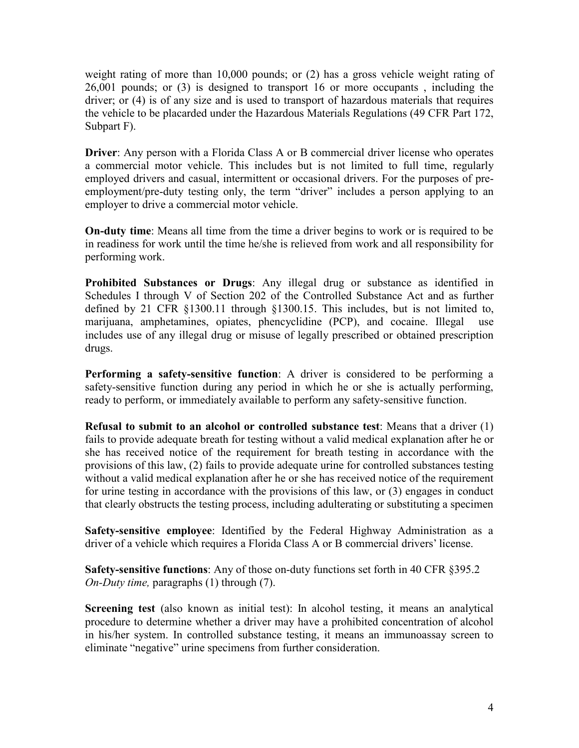weight rating of more than 10,000 pounds; or (2) has a gross vehicle weight rating of 26,001 pounds; or (3) is designed to transport 16 or more occupants , including the driver; or (4) is of any size and is used to transport of hazardous materials that requires the vehicle to be placarded under the Hazardous Materials Regulations (49 CFR Part 172, Subpart F).

**Driver:** Any person with a Florida Class A or B commercial driver license who operates a commercial motor vehicle. This includes but is not limited to full time, regularly employed drivers and casual, intermittent or occasional drivers. For the purposes of preemployment/pre-duty testing only, the term "driver" includes a person applying to an employer to drive a commercial motor vehicle.

**On-duty time**: Means all time from the time a driver begins to work or is required to be in readiness for work until the time he/she is relieved from work and all responsibility for performing work.

**Prohibited Substances or Drugs**: Any illegal drug or substance as identified in Schedules I through V of Section 202 of the Controlled Substance Act and as further defined by 21 CFR §1300.11 through §1300.15. This includes, but is not limited to, marijuana, amphetamines, opiates, phencyclidine (PCP), and cocaine. Illegal use includes use of any illegal drug or misuse of legally prescribed or obtained prescription drugs.

**Performing a safety-sensitive function**: A driver is considered to be performing a safety-sensitive function during any period in which he or she is actually performing, ready to perform, or immediately available to perform any safety-sensitive function.

**Refusal to submit to an alcohol or controlled substance test**: Means that a driver (1) fails to provide adequate breath for testing without a valid medical explanation after he or she has received notice of the requirement for breath testing in accordance with the provisions of this law, (2) fails to provide adequate urine for controlled substances testing without a valid medical explanation after he or she has received notice of the requirement for urine testing in accordance with the provisions of this law, or (3) engages in conduct that clearly obstructs the testing process, including adulterating or substituting a specimen

**Safety-sensitive employee**: Identified by the Federal Highway Administration as a driver of a vehicle which requires a Florida Class A or B commercial drivers' license.

**Safety-sensitive functions**: Any of those on-duty functions set forth in 40 CFR §395.2 *On-Duty time,* paragraphs (1) through (7).

**Screening test** (also known as initial test): In alcohol testing, it means an analytical procedure to determine whether a driver may have a prohibited concentration of alcohol in his/her system. In controlled substance testing, it means an immunoassay screen to eliminate "negative" urine specimens from further consideration.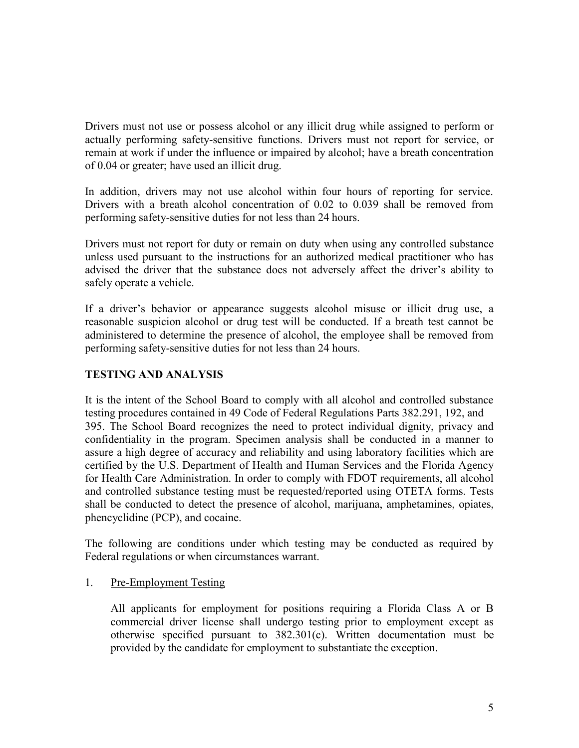Drivers must not use or possess alcohol or any illicit drug while assigned to perform or actually performing safety-sensitive functions. Drivers must not report for service, or remain at work if under the influence or impaired by alcohol; have a breath concentration of 0.04 or greater; have used an illicit drug.

In addition, drivers may not use alcohol within four hours of reporting for service. Drivers with a breath alcohol concentration of 0.02 to 0.039 shall be removed from performing safety-sensitive duties for not less than 24 hours.

Drivers must not report for duty or remain on duty when using any controlled substance unless used pursuant to the instructions for an authorized medical practitioner who has advised the driver that the substance does not adversely affect the driver's ability to safely operate a vehicle.

If a driver's behavior or appearance suggests alcohol misuse or illicit drug use, a reasonable suspicion alcohol or drug test will be conducted. If a breath test cannot be administered to determine the presence of alcohol, the employee shall be removed from performing safety-sensitive duties for not less than 24 hours.

#### **TESTING AND ANALYSIS**

It is the intent of the School Board to comply with all alcohol and controlled substance testing procedures contained in 49 Code of Federal Regulations Parts 382.291, 192, and 395. The School Board recognizes the need to protect individual dignity, privacy and confidentiality in the program. Specimen analysis shall be conducted in a manner to assure a high degree of accuracy and reliability and using laboratory facilities which are certified by the U.S. Department of Health and Human Services and the Florida Agency for Health Care Administration. In order to comply with FDOT requirements, all alcohol and controlled substance testing must be requested/reported using OTETA forms. Tests shall be conducted to detect the presence of alcohol, marijuana, amphetamines, opiates, phencyclidine (PCP), and cocaine.

The following are conditions under which testing may be conducted as required by Federal regulations or when circumstances warrant.

#### 1. Pre-Employment Testing

All applicants for employment for positions requiring a Florida Class A or B commercial driver license shall undergo testing prior to employment except as otherwise specified pursuant to 382.301(c). Written documentation must be provided by the candidate for employment to substantiate the exception.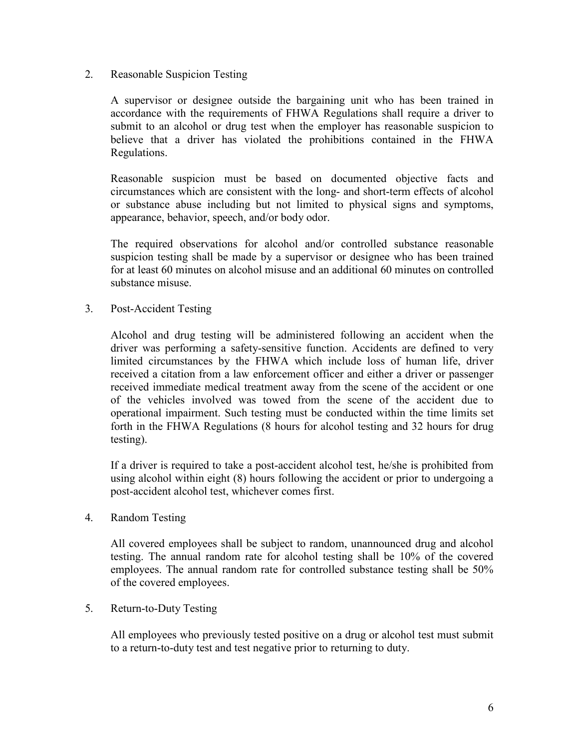#### 2. Reasonable Suspicion Testing

A supervisor or designee outside the bargaining unit who has been trained in accordance with the requirements of FHWA Regulations shall require a driver to submit to an alcohol or drug test when the employer has reasonable suspicion to believe that a driver has violated the prohibitions contained in the FHWA Regulations.

Reasonable suspicion must be based on documented objective facts and circumstances which are consistent with the long- and short-term effects of alcohol or substance abuse including but not limited to physical signs and symptoms, appearance, behavior, speech, and/or body odor.

The required observations for alcohol and/or controlled substance reasonable suspicion testing shall be made by a supervisor or designee who has been trained for at least 60 minutes on alcohol misuse and an additional 60 minutes on controlled substance misuse.

3. Post-Accident Testing

Alcohol and drug testing will be administered following an accident when the driver was performing a safety-sensitive function. Accidents are defined to very limited circumstances by the FHWA which include loss of human life, driver received a citation from a law enforcement officer and either a driver or passenger received immediate medical treatment away from the scene of the accident or one of the vehicles involved was towed from the scene of the accident due to operational impairment. Such testing must be conducted within the time limits set forth in the FHWA Regulations (8 hours for alcohol testing and 32 hours for drug testing).

If a driver is required to take a post-accident alcohol test, he/she is prohibited from using alcohol within eight (8) hours following the accident or prior to undergoing a post-accident alcohol test, whichever comes first.

4. Random Testing

All covered employees shall be subject to random, unannounced drug and alcohol testing. The annual random rate for alcohol testing shall be 10% of the covered employees. The annual random rate for controlled substance testing shall be 50% of the covered employees.

5. Return-to-Duty Testing

All employees who previously tested positive on a drug or alcohol test must submit to a return-to-duty test and test negative prior to returning to duty.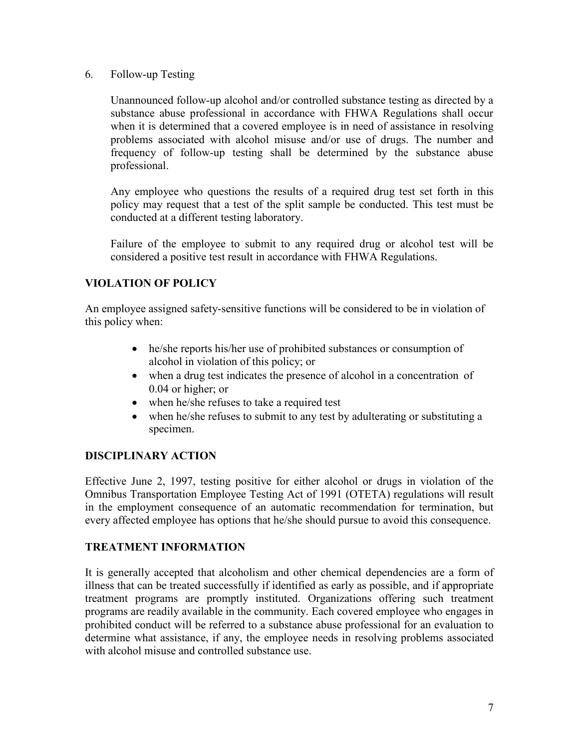6. Follow-up Testing

Unannounced follow-up alcohol and/or controlled substance testing as directed by a substance abuse professional in accordance with FHWA Regulations shall occur when it is determined that a covered employee is in need of assistance in resolving problems associated with alcohol misuse and/or use of drugs. The number and frequency of follow-up testing shall be determined by the substance abuse professional.

Any employee who questions the results of a required drug test set forth in this policy may request that a test of the split sample be conducted. This test must be conducted at a different testing laboratory.

Failure of the employee to submit to any required drug or alcohol test will be considered a positive test result in accordance with FHWA Regulations.

# **VIOLATION OF POLICY**

An employee assigned safety-sensitive functions will be considered to be in violation of this policy when:

- he/she reports his/her use of prohibited substances or consumption of alcohol in violation of this policy; or
- when a drug test indicates the presence of alcohol in a concentration of 0.04 or higher; or
- when he/she refuses to take a required test
- when he/she refuses to submit to any test by adulterating or substituting a specimen.

# **DISCIPLINARY ACTION**

Effective June 2, 1997, testing positive for either alcohol or drugs in violation of the Omnibus Transportation Employee Testing Act of 1991 (OTETA) regulations will result in the employment consequence of an automatic recommendation for termination, but every affected employee has options that he/she should pursue to avoid this consequence.

# **TREATMENT INFORMATION**

It is generally accepted that alcoholism and other chemical dependencies are a form of illness that can be treated successfully if identified as early as possible, and if appropriate treatment programs are promptly instituted. Organizations offering such treatment programs are readily available in the community. Each covered employee who engages in prohibited conduct will be referred to a substance abuse professional for an evaluation to determine what assistance, if any, the employee needs in resolving problems associated with alcohol misuse and controlled substance use.